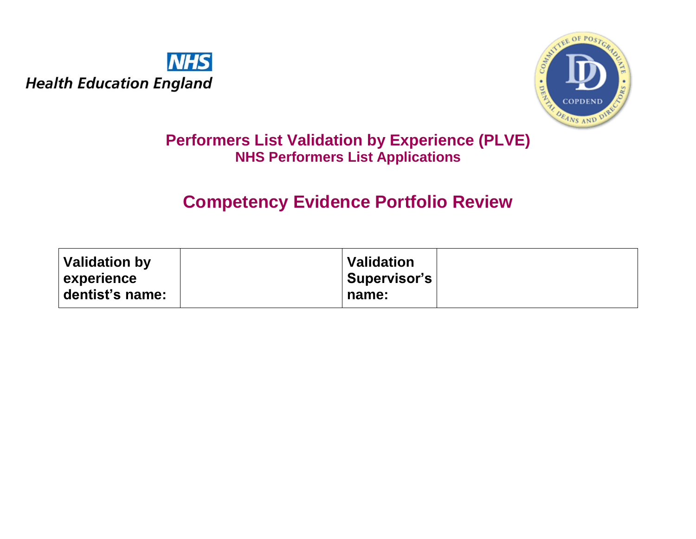



# **Performers List Validation by Experience (PLVE) NHS Performers List Applications**

# **Competency Evidence Portfolio Review**

| Validation by     | <b>Validation</b> |  |
|-------------------|-------------------|--|
| <b>experience</b> | Supervisor's      |  |
| dentist's name:   | name:             |  |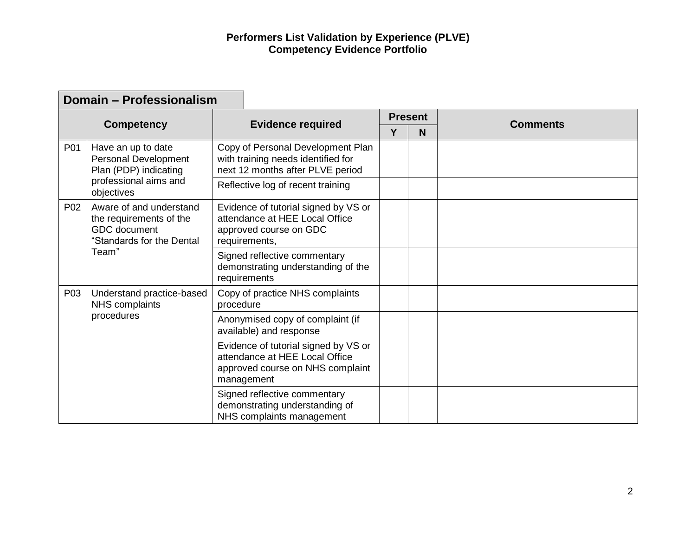|     | Domain - Professionalism                                                                                   |                                                                                                                                                  |   |                |                 |
|-----|------------------------------------------------------------------------------------------------------------|--------------------------------------------------------------------------------------------------------------------------------------------------|---|----------------|-----------------|
|     |                                                                                                            |                                                                                                                                                  |   | <b>Present</b> | <b>Comments</b> |
|     | <b>Competency</b>                                                                                          | <b>Evidence required</b>                                                                                                                         | Υ | N              |                 |
| P01 | Have an up to date<br>Personal Development<br>Plan (PDP) indicating<br>professional aims and<br>objectives | Copy of Personal Development Plan<br>with training needs identified for<br>next 12 months after PLVE period<br>Reflective log of recent training |   |                |                 |
| P02 | Aware of and understand<br>the requirements of the<br><b>GDC</b> document<br>"Standards for the Dental     | Evidence of tutorial signed by VS or<br>attendance at HEE Local Office<br>approved course on GDC<br>requirements,                                |   |                |                 |
|     | Team"                                                                                                      | Signed reflective commentary<br>demonstrating understanding of the<br>requirements                                                               |   |                |                 |
| P03 | Understand practice-based<br>NHS complaints<br>procedures                                                  | Copy of practice NHS complaints<br>procedure                                                                                                     |   |                |                 |
|     |                                                                                                            | Anonymised copy of complaint (if<br>available) and response                                                                                      |   |                |                 |
|     |                                                                                                            | Evidence of tutorial signed by VS or<br>attendance at HEE Local Office<br>approved course on NHS complaint<br>management                         |   |                |                 |
|     |                                                                                                            | Signed reflective commentary<br>demonstrating understanding of<br>NHS complaints management                                                      |   |                |                 |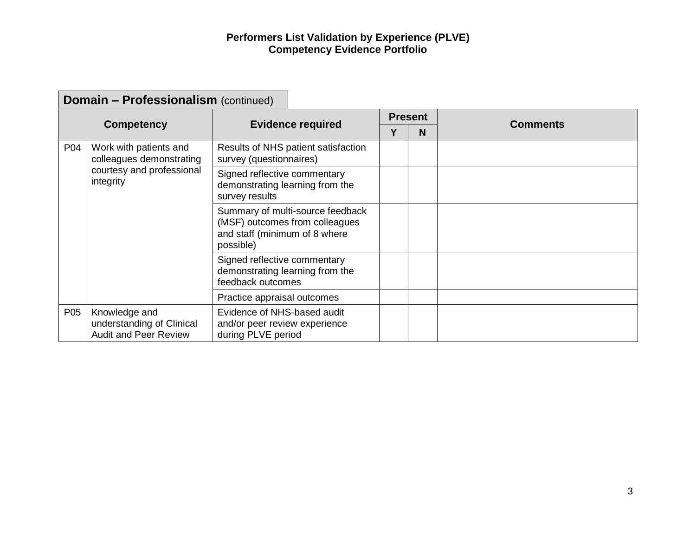┑

|     | <b>Domain - Professionalism (continued)</b>                                |                                                                                    |                                                                    |                |   |                 |
|-----|----------------------------------------------------------------------------|------------------------------------------------------------------------------------|--------------------------------------------------------------------|----------------|---|-----------------|
|     |                                                                            |                                                                                    |                                                                    | <b>Present</b> |   |                 |
|     | <b>Competency</b>                                                          |                                                                                    | <b>Evidence required</b>                                           | Υ              | N | <b>Comments</b> |
| P04 | Work with patients and<br>colleagues demonstrating                         | survey (questionnaires)                                                            | Results of NHS patient satisfaction                                |                |   |                 |
|     | courtesy and professional<br>integrity                                     | Signed reflective commentary<br>survey results                                     | demonstrating learning from the                                    |                |   |                 |
|     |                                                                            | and staff (minimum of 8 where<br>possible)                                         | Summary of multi-source feedback<br>(MSF) outcomes from colleagues |                |   |                 |
|     |                                                                            | Signed reflective commentary<br>feedback outcomes                                  | demonstrating learning from the                                    |                |   |                 |
|     |                                                                            | Practice appraisal outcomes                                                        |                                                                    |                |   |                 |
| P05 | Knowledge and<br>understanding of Clinical<br><b>Audit and Peer Review</b> | Evidence of NHS-based audit<br>and/or peer review experience<br>during PLVE period |                                                                    |                |   |                 |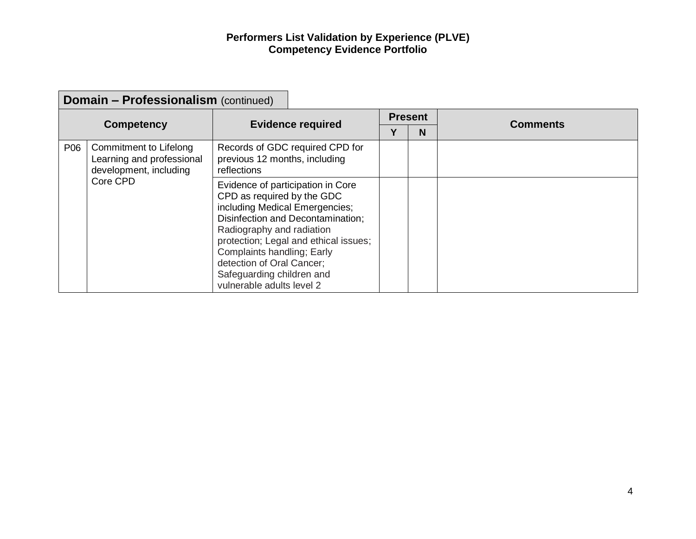$\overline{\phantom{0}}$ 

|                                                                                      | <b>Domain - Professionalism (continued)</b> |                                                                                                                                                                                                                                                                                          |                                       |   |                 |  |  |  |  |
|--------------------------------------------------------------------------------------|---------------------------------------------|------------------------------------------------------------------------------------------------------------------------------------------------------------------------------------------------------------------------------------------------------------------------------------------|---------------------------------------|---|-----------------|--|--|--|--|
|                                                                                      |                                             |                                                                                                                                                                                                                                                                                          | <b>Present</b>                        |   | <b>Comments</b> |  |  |  |  |
|                                                                                      | <b>Competency</b>                           | <b>Evidence required</b>                                                                                                                                                                                                                                                                 |                                       | Υ | N               |  |  |  |  |
| P06<br>Commitment to Lifelong<br>Learning and professional<br>development, including |                                             | Records of GDC required CPD for<br>previous 12 months, including<br>reflections                                                                                                                                                                                                          |                                       |   |                 |  |  |  |  |
|                                                                                      | Core CPD                                    | Evidence of participation in Core<br>CPD as required by the GDC<br>including Medical Emergencies;<br>Disinfection and Decontamination;<br>Radiography and radiation<br>Complaints handling; Early<br>detection of Oral Cancer;<br>Safeguarding children and<br>vulnerable adults level 2 | protection; Legal and ethical issues; |   |                 |  |  |  |  |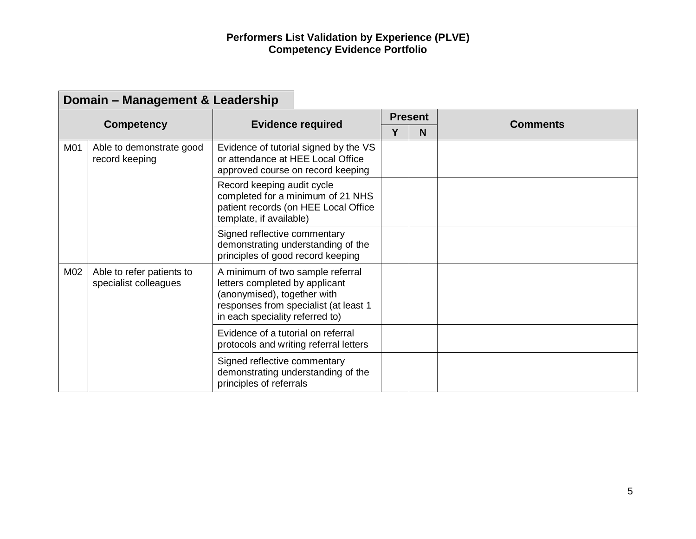$\sim$ 

|     | Domain – Management & Leadership                   |                                                                                                                                                                               |   |                |                 |
|-----|----------------------------------------------------|-------------------------------------------------------------------------------------------------------------------------------------------------------------------------------|---|----------------|-----------------|
|     |                                                    | <b>Evidence required</b>                                                                                                                                                      |   | <b>Present</b> | <b>Comments</b> |
|     | <b>Competency</b>                                  |                                                                                                                                                                               | Υ | N              |                 |
| M01 | Able to demonstrate good<br>record keeping         | Evidence of tutorial signed by the VS<br>or attendance at HEE Local Office<br>approved course on record keeping                                                               |   |                |                 |
|     |                                                    | Record keeping audit cycle<br>completed for a minimum of 21 NHS<br>patient records (on HEE Local Office<br>template, if available)                                            |   |                |                 |
|     |                                                    | Signed reflective commentary<br>demonstrating understanding of the<br>principles of good record keeping                                                                       |   |                |                 |
| M02 | Able to refer patients to<br>specialist colleagues | A minimum of two sample referral<br>letters completed by applicant<br>(anonymised), together with<br>responses from specialist (at least 1<br>in each speciality referred to) |   |                |                 |
|     |                                                    | Evidence of a tutorial on referral<br>protocols and writing referral letters                                                                                                  |   |                |                 |
|     |                                                    | Signed reflective commentary<br>demonstrating understanding of the<br>principles of referrals                                                                                 |   |                |                 |

## **Domain – Management & Leadership**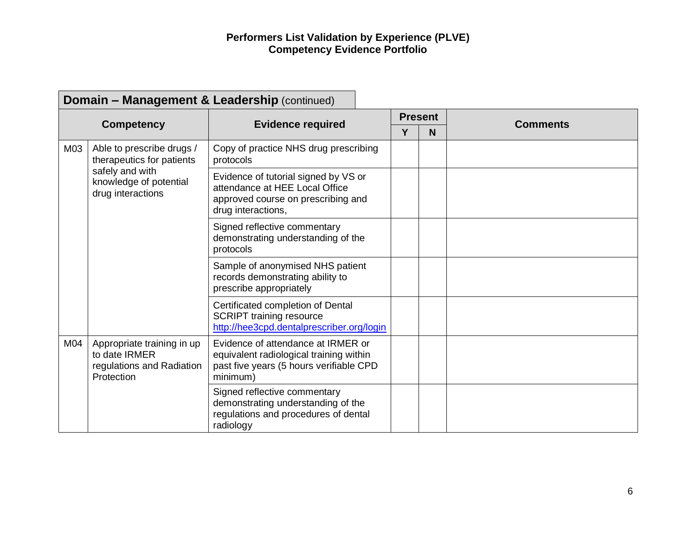|     | <b>Domain - Management &amp; Leadership (continued)</b>                                                                  |                                                                                                                                      |                |   |                 |  |  |  |
|-----|--------------------------------------------------------------------------------------------------------------------------|--------------------------------------------------------------------------------------------------------------------------------------|----------------|---|-----------------|--|--|--|
|     |                                                                                                                          | <b>Evidence required</b>                                                                                                             | <b>Present</b> |   |                 |  |  |  |
|     | <b>Competency</b>                                                                                                        |                                                                                                                                      | Y              | N | <b>Comments</b> |  |  |  |
| M03 | Able to prescribe drugs /<br>therapeutics for patients<br>safely and with<br>knowledge of potential<br>drug interactions | Copy of practice NHS drug prescribing<br>protocols                                                                                   |                |   |                 |  |  |  |
|     |                                                                                                                          | Evidence of tutorial signed by VS or<br>attendance at HEE Local Office<br>approved course on prescribing and<br>drug interactions,   |                |   |                 |  |  |  |
|     |                                                                                                                          | Signed reflective commentary<br>demonstrating understanding of the<br>protocols                                                      |                |   |                 |  |  |  |
|     |                                                                                                                          | Sample of anonymised NHS patient<br>records demonstrating ability to<br>prescribe appropriately                                      |                |   |                 |  |  |  |
|     |                                                                                                                          | Certificated completion of Dental<br><b>SCRIPT training resource</b><br>http://hee3cpd.dentalprescriber.org/login                    |                |   |                 |  |  |  |
| M04 | Appropriate training in up<br>to date IRMER<br>regulations and Radiation<br>Protection                                   | Evidence of attendance at IRMER or<br>equivalent radiological training within<br>past five years (5 hours verifiable CPD<br>minimum) |                |   |                 |  |  |  |
|     |                                                                                                                          | Signed reflective commentary<br>demonstrating understanding of the<br>regulations and procedures of dental<br>radiology              |                |   |                 |  |  |  |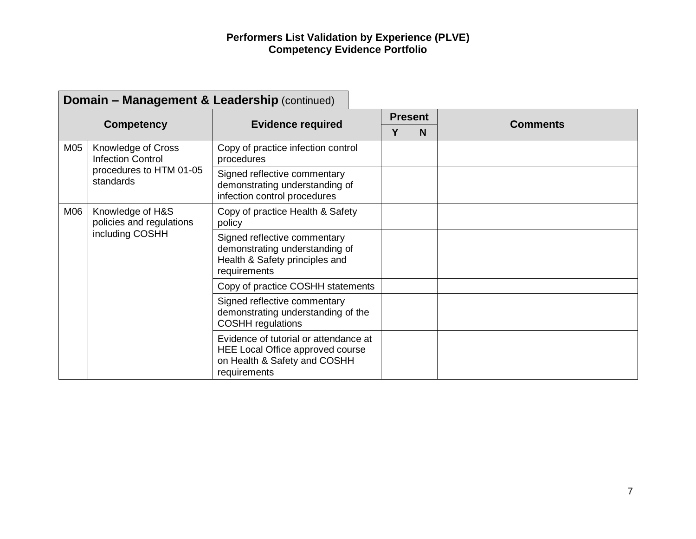|     |                                                                 | <b>Domain - Management &amp; Leadership (continued)</b>                                                                   |  |                |                 |
|-----|-----------------------------------------------------------------|---------------------------------------------------------------------------------------------------------------------------|--|----------------|-----------------|
|     |                                                                 |                                                                                                                           |  | <b>Present</b> | <b>Comments</b> |
|     | <b>Competency</b>                                               | <b>Evidence required</b>                                                                                                  |  | N.             |                 |
| M05 | Knowledge of Cross<br><b>Infection Control</b>                  | Copy of practice infection control<br>procedures                                                                          |  |                |                 |
|     | procedures to HTM 01-05<br>standards                            | Signed reflective commentary<br>demonstrating understanding of<br>infection control procedures                            |  |                |                 |
| M06 | Knowledge of H&S<br>policies and regulations<br>including COSHH | Copy of practice Health & Safety<br>policy                                                                                |  |                |                 |
|     |                                                                 | Signed reflective commentary<br>demonstrating understanding of<br>Health & Safety principles and<br>requirements          |  |                |                 |
|     |                                                                 | Copy of practice COSHH statements                                                                                         |  |                |                 |
|     |                                                                 | Signed reflective commentary<br>demonstrating understanding of the<br><b>COSHH</b> regulations                            |  |                |                 |
|     |                                                                 | Evidence of tutorial or attendance at<br>HEE Local Office approved course<br>on Health & Safety and COSHH<br>requirements |  |                |                 |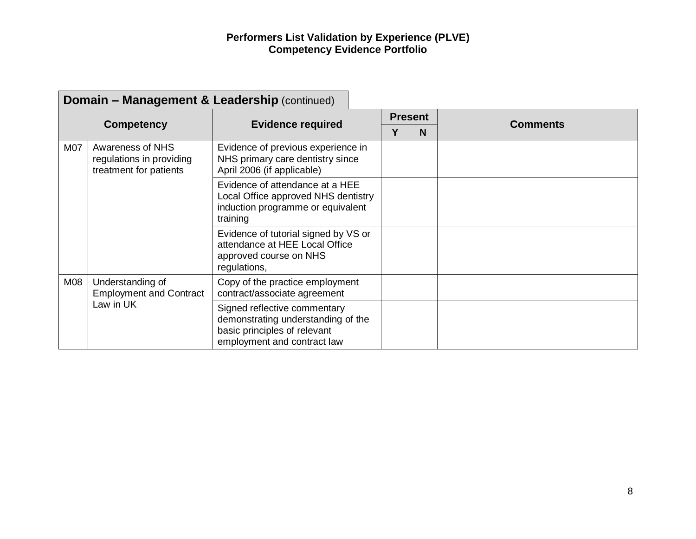|     | <b>Domain - Management &amp; Leadership (continued)</b>                |                                                                                                                                   |   |                |                 |  |  |  |  |
|-----|------------------------------------------------------------------------|-----------------------------------------------------------------------------------------------------------------------------------|---|----------------|-----------------|--|--|--|--|
|     |                                                                        |                                                                                                                                   |   | <b>Present</b> | <b>Comments</b> |  |  |  |  |
|     | <b>Competency</b>                                                      | <b>Evidence required</b>                                                                                                          | Υ | N              |                 |  |  |  |  |
| M07 | Awareness of NHS<br>regulations in providing<br>treatment for patients | Evidence of previous experience in<br>NHS primary care dentistry since<br>April 2006 (if applicable)                              |   |                |                 |  |  |  |  |
|     |                                                                        | Evidence of attendance at a HEE<br>Local Office approved NHS dentistry<br>induction programme or equivalent<br>training           |   |                |                 |  |  |  |  |
|     |                                                                        | Evidence of tutorial signed by VS or<br>attendance at HEE Local Office<br>approved course on NHS<br>regulations,                  |   |                |                 |  |  |  |  |
| M08 | Understanding of<br><b>Employment and Contract</b><br>Law in UK        | Copy of the practice employment<br>contract/associate agreement                                                                   |   |                |                 |  |  |  |  |
|     |                                                                        | Signed reflective commentary<br>demonstrating understanding of the<br>basic principles of relevant<br>employment and contract law |   |                |                 |  |  |  |  |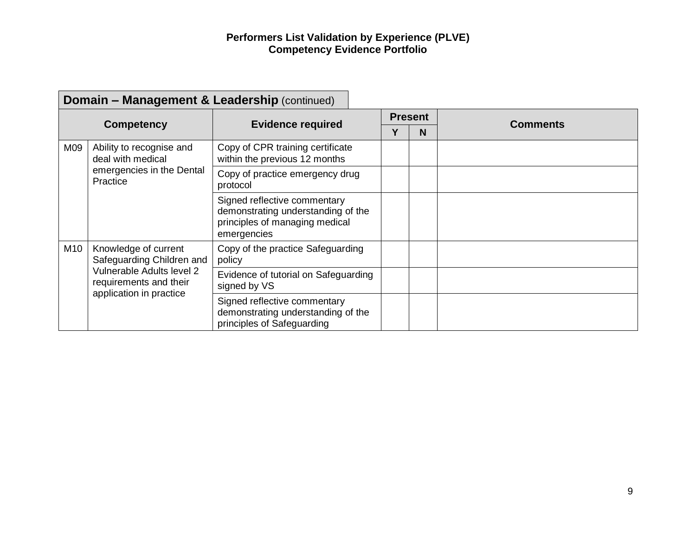|     | <b>Domain - Management &amp; Leadership (continued)</b>                                                                             |                                                                                                                     |                |   |                 |  |  |  |  |
|-----|-------------------------------------------------------------------------------------------------------------------------------------|---------------------------------------------------------------------------------------------------------------------|----------------|---|-----------------|--|--|--|--|
|     |                                                                                                                                     |                                                                                                                     | <b>Present</b> |   | <b>Comments</b> |  |  |  |  |
|     | <b>Competency</b>                                                                                                                   | <b>Evidence required</b>                                                                                            | Υ              | N |                 |  |  |  |  |
| M09 | Ability to recognise and<br>deal with medical                                                                                       | Copy of CPR training certificate<br>within the previous 12 months                                                   |                |   |                 |  |  |  |  |
|     | emergencies in the Dental<br>Practice                                                                                               | Copy of practice emergency drug<br>protocol                                                                         |                |   |                 |  |  |  |  |
|     |                                                                                                                                     | Signed reflective commentary<br>demonstrating understanding of the<br>principles of managing medical<br>emergencies |                |   |                 |  |  |  |  |
| M10 | Knowledge of current<br>Safeguarding Children and<br>Vulnerable Adults level 2<br>requirements and their<br>application in practice | Copy of the practice Safeguarding<br>policy                                                                         |                |   |                 |  |  |  |  |
|     |                                                                                                                                     | Evidence of tutorial on Safeguarding<br>signed by VS                                                                |                |   |                 |  |  |  |  |
|     |                                                                                                                                     | Signed reflective commentary<br>demonstrating understanding of the<br>principles of Safeguarding                    |                |   |                 |  |  |  |  |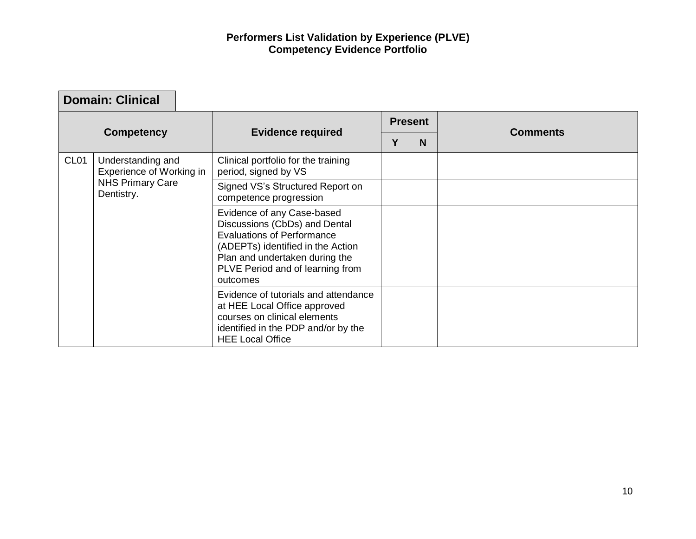г

┑

|                   | <b>Domain: Clinical</b>                       |                                                                                                                                                                                                                         |                |   |                 |
|-------------------|-----------------------------------------------|-------------------------------------------------------------------------------------------------------------------------------------------------------------------------------------------------------------------------|----------------|---|-----------------|
| <b>Competency</b> |                                               |                                                                                                                                                                                                                         | <b>Present</b> |   |                 |
|                   |                                               | <b>Evidence required</b>                                                                                                                                                                                                | Υ              | N | <b>Comments</b> |
| CL <sub>01</sub>  | Understanding and<br>Experience of Working in | Clinical portfolio for the training<br>period, signed by VS                                                                                                                                                             |                |   |                 |
|                   | <b>NHS Primary Care</b><br>Dentistry.         | Signed VS's Structured Report on<br>competence progression                                                                                                                                                              |                |   |                 |
|                   |                                               | Evidence of any Case-based<br>Discussions (CbDs) and Dental<br><b>Evaluations of Performance</b><br>(ADEPTs) identified in the Action<br>Plan and undertaken during the<br>PLVE Period and of learning from<br>outcomes |                |   |                 |
|                   |                                               | Evidence of tutorials and attendance<br>at HEE Local Office approved<br>courses on clinical elements<br>identified in the PDP and/or by the<br><b>HEE Local Office</b>                                                  |                |   |                 |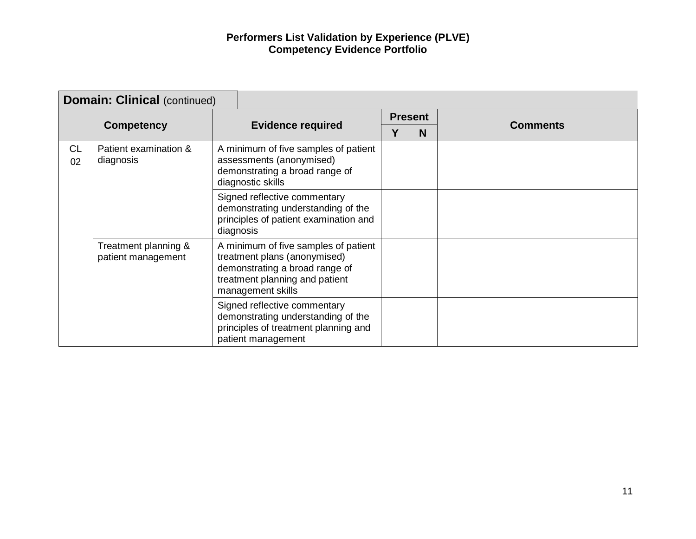| <b>Domain: Clinical (continued)</b> |                                            |  |                                                                                                                                                               |                |   |                 |
|-------------------------------------|--------------------------------------------|--|---------------------------------------------------------------------------------------------------------------------------------------------------------------|----------------|---|-----------------|
|                                     |                                            |  |                                                                                                                                                               | <b>Present</b> |   |                 |
|                                     | <b>Competency</b>                          |  | <b>Evidence required</b>                                                                                                                                      |                | N | <b>Comments</b> |
| <b>CL</b><br>02                     | Patient examination &<br>diagnosis         |  | A minimum of five samples of patient<br>assessments (anonymised)<br>demonstrating a broad range of<br>diagnostic skills                                       |                |   |                 |
|                                     |                                            |  | Signed reflective commentary<br>demonstrating understanding of the<br>principles of patient examination and<br>diagnosis                                      |                |   |                 |
|                                     | Treatment planning &<br>patient management |  | A minimum of five samples of patient<br>treatment plans (anonymised)<br>demonstrating a broad range of<br>treatment planning and patient<br>management skills |                |   |                 |
|                                     |                                            |  | Signed reflective commentary<br>demonstrating understanding of the<br>principles of treatment planning and<br>patient management                              |                |   |                 |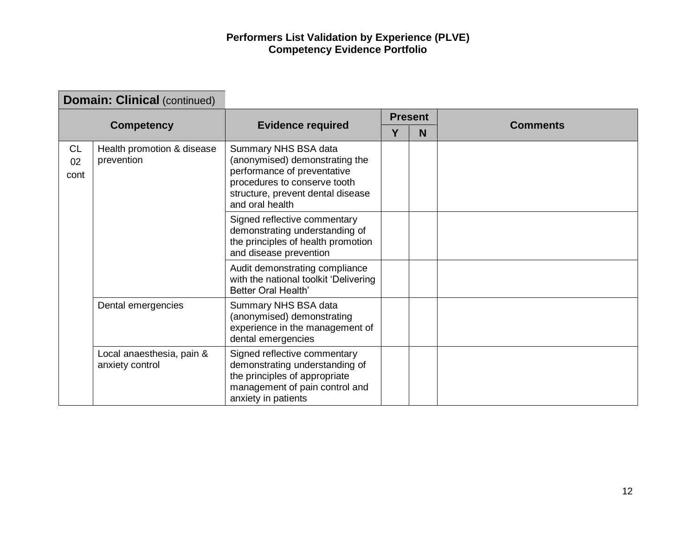|                         | <b>Domain: Clinical (continued)</b>          |                                                                                                                                                                               |                |   |                 |
|-------------------------|----------------------------------------------|-------------------------------------------------------------------------------------------------------------------------------------------------------------------------------|----------------|---|-----------------|
|                         |                                              | <b>Evidence required</b>                                                                                                                                                      | <b>Present</b> |   |                 |
|                         | <b>Competency</b>                            |                                                                                                                                                                               | Υ              | N | <b>Comments</b> |
| <b>CL</b><br>02<br>cont | Health promotion & disease<br>prevention     | Summary NHS BSA data<br>(anonymised) demonstrating the<br>performance of preventative<br>procedures to conserve tooth<br>structure, prevent dental disease<br>and oral health |                |   |                 |
|                         |                                              | Signed reflective commentary<br>demonstrating understanding of<br>the principles of health promotion<br>and disease prevention                                                |                |   |                 |
|                         |                                              | Audit demonstrating compliance<br>with the national toolkit 'Delivering<br><b>Better Oral Health'</b>                                                                         |                |   |                 |
|                         | Dental emergencies                           | Summary NHS BSA data<br>(anonymised) demonstrating<br>experience in the management of<br>dental emergencies                                                                   |                |   |                 |
|                         | Local anaesthesia, pain &<br>anxiety control | Signed reflective commentary<br>demonstrating understanding of<br>the principles of appropriate<br>management of pain control and<br>anxiety in patients                      |                |   |                 |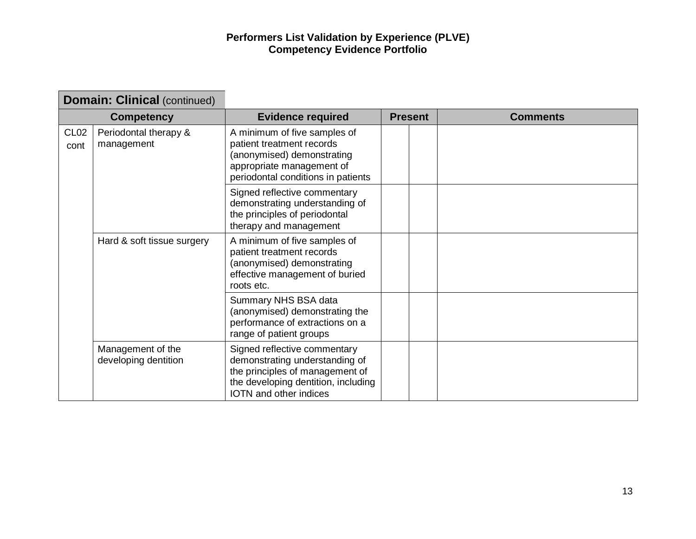| <b>Domain: Clinical (continued)</b> |                                           |                                                                                                                                                                           |  |                |                 |
|-------------------------------------|-------------------------------------------|---------------------------------------------------------------------------------------------------------------------------------------------------------------------------|--|----------------|-----------------|
| <b>Competency</b>                   |                                           | <b>Evidence required</b>                                                                                                                                                  |  | <b>Present</b> | <b>Comments</b> |
| CL <sub>02</sub><br>cont            | Periodontal therapy &<br>management       | A minimum of five samples of<br>patient treatment records<br>(anonymised) demonstrating<br>appropriate management of<br>periodontal conditions in patients                |  |                |                 |
|                                     |                                           | Signed reflective commentary<br>demonstrating understanding of<br>the principles of periodontal<br>therapy and management                                                 |  |                |                 |
|                                     | Hard & soft tissue surgery                | A minimum of five samples of<br>patient treatment records<br>(anonymised) demonstrating<br>effective management of buried<br>roots etc.                                   |  |                |                 |
|                                     |                                           | Summary NHS BSA data<br>(anonymised) demonstrating the<br>performance of extractions on a<br>range of patient groups                                                      |  |                |                 |
|                                     | Management of the<br>developing dentition | Signed reflective commentary<br>demonstrating understanding of<br>the principles of management of<br>the developing dentition, including<br><b>IOTN</b> and other indices |  |                |                 |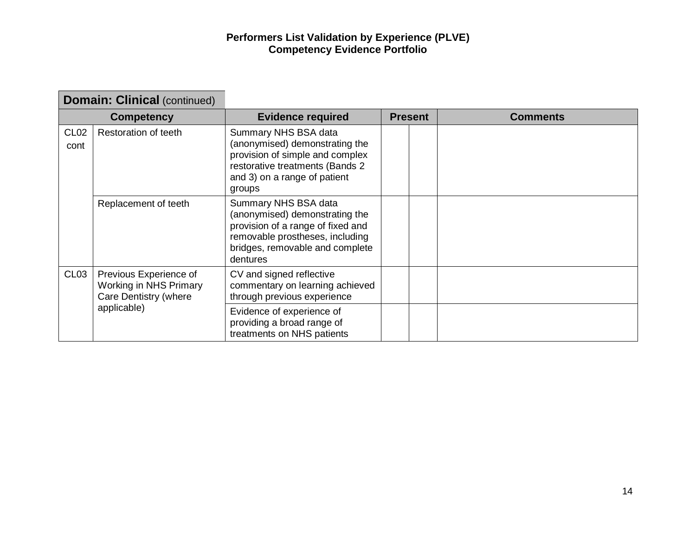| <b>Domain: Clinical (continued)</b> |                                                                                          |                                                                                                                                                                               |                |  |                 |
|-------------------------------------|------------------------------------------------------------------------------------------|-------------------------------------------------------------------------------------------------------------------------------------------------------------------------------|----------------|--|-----------------|
| <b>Competency</b>                   |                                                                                          | <b>Evidence required</b>                                                                                                                                                      | <b>Present</b> |  | <b>Comments</b> |
| CL <sub>02</sub><br>cont            | Restoration of teeth                                                                     | Summary NHS BSA data<br>(anonymised) demonstrating the<br>provision of simple and complex<br>restorative treatments (Bands 2<br>and 3) on a range of patient<br>groups        |                |  |                 |
|                                     | Replacement of teeth                                                                     | Summary NHS BSA data<br>(anonymised) demonstrating the<br>provision of a range of fixed and<br>removable prostheses, including<br>bridges, removable and complete<br>dentures |                |  |                 |
| CL <sub>03</sub>                    | Previous Experience of<br>Working in NHS Primary<br>Care Dentistry (where<br>applicable) | CV and signed reflective<br>commentary on learning achieved<br>through previous experience                                                                                    |                |  |                 |
|                                     |                                                                                          | Evidence of experience of<br>providing a broad range of<br>treatments on NHS patients                                                                                         |                |  |                 |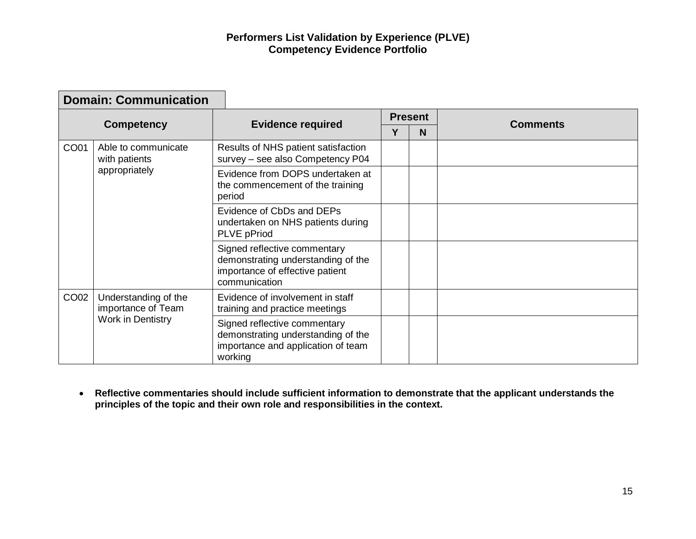| <b>Domain: Communication</b> |                                                                 |                                                                                                                        |                |   |                 |
|------------------------------|-----------------------------------------------------------------|------------------------------------------------------------------------------------------------------------------------|----------------|---|-----------------|
| <b>Competency</b>            |                                                                 | <b>Evidence required</b>                                                                                               | <b>Present</b> |   |                 |
|                              |                                                                 |                                                                                                                        | Υ              | N | <b>Comments</b> |
| CO01                         | Able to communicate<br>with patients<br>appropriately           | Results of NHS patient satisfaction<br>survey - see also Competency P04                                                |                |   |                 |
|                              |                                                                 | Evidence from DOPS undertaken at<br>the commencement of the training<br>period                                         |                |   |                 |
|                              |                                                                 | Evidence of CbDs and DEPs<br>undertaken on NHS patients during<br><b>PLVE</b> pPriod                                   |                |   |                 |
|                              |                                                                 | Signed reflective commentary<br>demonstrating understanding of the<br>importance of effective patient<br>communication |                |   |                 |
| CO02                         | Understanding of the<br>importance of Team<br>Work in Dentistry | Evidence of involvement in staff<br>training and practice meetings                                                     |                |   |                 |
|                              |                                                                 | Signed reflective commentary<br>demonstrating understanding of the<br>importance and application of team<br>working    |                |   |                 |

• **Reflective commentaries should include sufficient information to demonstrate that the applicant understands the principles of the topic and their own role and responsibilities in the context.**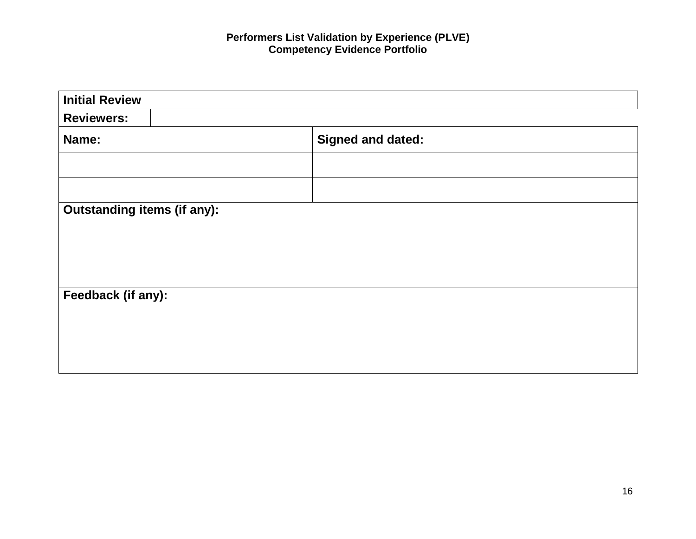| <b>Initial Review</b>              |                          |  |  |  |  |
|------------------------------------|--------------------------|--|--|--|--|
| <b>Reviewers:</b>                  |                          |  |  |  |  |
| Name:                              | <b>Signed and dated:</b> |  |  |  |  |
|                                    |                          |  |  |  |  |
|                                    |                          |  |  |  |  |
| <b>Outstanding items (if any):</b> |                          |  |  |  |  |
|                                    |                          |  |  |  |  |
|                                    |                          |  |  |  |  |
|                                    |                          |  |  |  |  |
| Feedback (if any):                 |                          |  |  |  |  |
|                                    |                          |  |  |  |  |
|                                    |                          |  |  |  |  |
|                                    |                          |  |  |  |  |